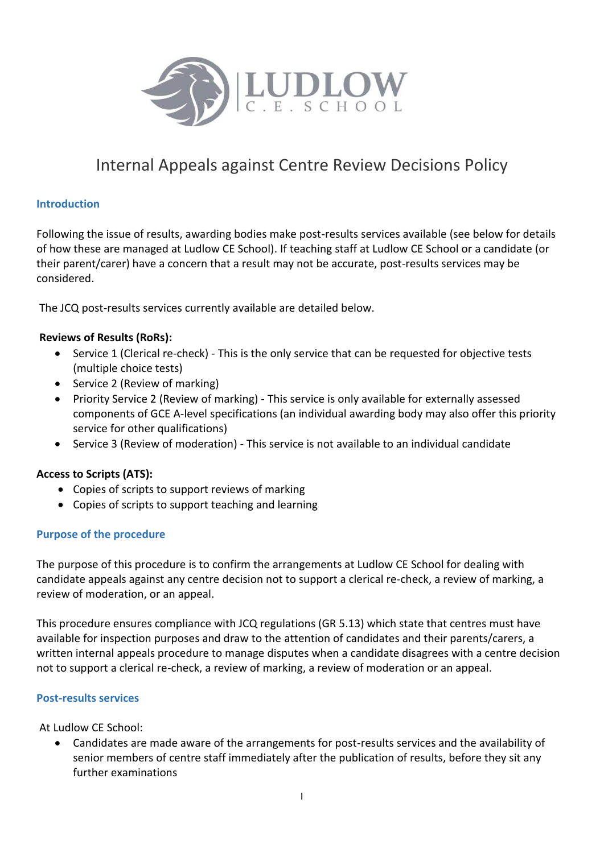

# Internal Appeals against Centre Review Decisions Policy

### **Introduction**

Following the issue of results, awarding bodies make post-results services available (see below for details of how these are managed at Ludlow CE School). If teaching staff at Ludlow CE School or a candidate (or their parent/carer) have a concern that a result may not be accurate, post-results services may be considered.

The JCQ post-results services currently available are detailed below.

## **Reviews of Results (RoRs):**

- Service 1 (Clerical re-check) This is the only service that can be requested for objective tests (multiple choice tests)
- Service 2 (Review of marking)
- Priority Service 2 (Review of marking) This service is only available for externally assessed components of GCE A-level specifications (an individual awarding body may also offer this priority service for other qualifications)
- Service 3 (Review of moderation) This service is not available to an individual candidate

## **Access to Scripts (ATS):**

- Copies of scripts to support reviews of marking
- Copies of scripts to support teaching and learning

#### **Purpose of the procedure**

The purpose of this procedure is to confirm the arrangements at Ludlow CE School for dealing with candidate appeals against any centre decision not to support a clerical re-check, a review of marking, a review of moderation, or an appeal.

This procedure ensures compliance with JCQ regulations (GR 5.13) which state that centres must have available for inspection purposes and draw to the attention of candidates and their parents/carers, a written internal appeals procedure to manage disputes when a candidate disagrees with a centre decision not to support a clerical re-check, a review of marking, a review of moderation or an appeal.

#### **Post-results services**

At Ludlow CE School:

 Candidates are made aware of the arrangements for post-results services and the availability of senior members of centre staff immediately after the publication of results, before they sit any further examinations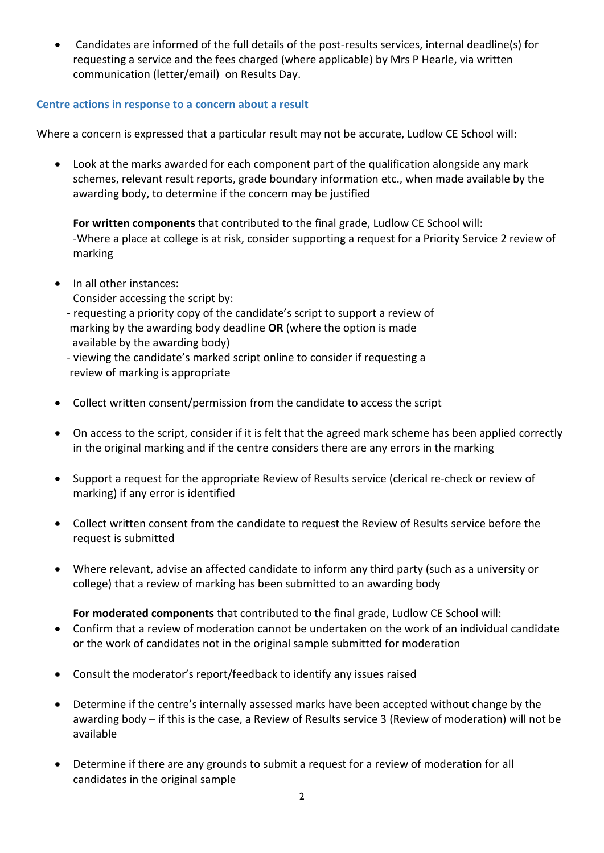Candidates are informed of the full details of the post-results services, internal deadline(s) for requesting a service and the fees charged (where applicable) by Mrs P Hearle, via written communication (letter/email) on Results Day.

## **Centre actions in response to a concern about a result**

Where a concern is expressed that a particular result may not be accurate, Ludlow CE School will:

 Look at the marks awarded for each component part of the qualification alongside any mark schemes, relevant result reports, grade boundary information etc., when made available by the awarding body, to determine if the concern may be justified

**For written components** that contributed to the final grade, Ludlow CE School will: -Where a place at college is at risk, consider supporting a request for a Priority Service 2 review of marking

- In all other instances:
	- Consider accessing the script by:
	- requesting a priority copy of the candidate's script to support a review of marking by the awarding body deadline **OR** (where the option is made available by the awarding body)

 - viewing the candidate's marked script online to consider if requesting a review of marking is appropriate

- Collect written consent/permission from the candidate to access the script
- On access to the script, consider if it is felt that the agreed mark scheme has been applied correctly in the original marking and if the centre considers there are any errors in the marking
- Support a request for the appropriate Review of Results service (clerical re-check or review of marking) if any error is identified
- Collect written consent from the candidate to request the Review of Results service before the request is submitted
- Where relevant, advise an affected candidate to inform any third party (such as a university or college) that a review of marking has been submitted to an awarding body

## **For moderated components** that contributed to the final grade, Ludlow CE School will:

- Confirm that a review of moderation cannot be undertaken on the work of an individual candidate or the work of candidates not in the original sample submitted for moderation
- Consult the moderator's report/feedback to identify any issues raised
- Determine if the centre's internally assessed marks have been accepted without change by the awarding body – if this is the case, a Review of Results service 3 (Review of moderation) will not be available
- Determine if there are any grounds to submit a request for a review of moderation for all candidates in the original sample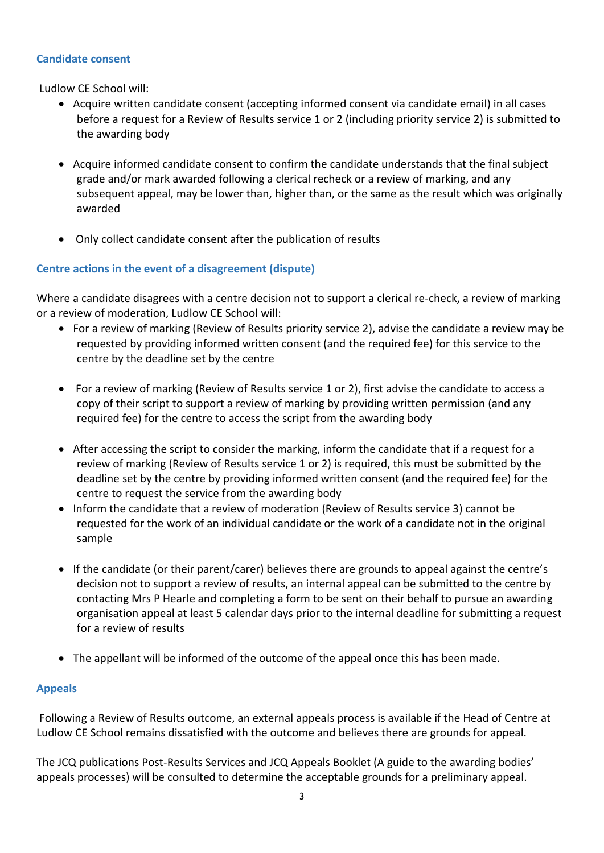#### **Candidate consent**

Ludlow CE School will:

- Acquire written candidate consent (accepting informed consent via candidate email) in all cases before a request for a Review of Results service 1 or 2 (including priority service 2) is submitted to the awarding body
- Acquire informed candidate consent to confirm the candidate understands that the final subject grade and/or mark awarded following a clerical recheck or a review of marking, and any subsequent appeal, may be lower than, higher than, or the same as the result which was originally awarded
- Only collect candidate consent after the publication of results

## **Centre actions in the event of a disagreement (dispute)**

Where a candidate disagrees with a centre decision not to support a clerical re-check, a review of marking or a review of moderation, Ludlow CE School will:

- For a review of marking (Review of Results priority service 2), advise the candidate a review may be requested by providing informed written consent (and the required fee) for this service to the centre by the deadline set by the centre
- For a review of marking (Review of Results service 1 or 2), first advise the candidate to access a copy of their script to support a review of marking by providing written permission (and any required fee) for the centre to access the script from the awarding body
- After accessing the script to consider the marking, inform the candidate that if a request for a review of marking (Review of Results service 1 or 2) is required, this must be submitted by the deadline set by the centre by providing informed written consent (and the required fee) for the centre to request the service from the awarding body
- Inform the candidate that a review of moderation (Review of Results service 3) cannot be requested for the work of an individual candidate or the work of a candidate not in the original sample
- If the candidate (or their parent/carer) believes there are grounds to appeal against the centre's decision not to support a review of results, an internal appeal can be submitted to the centre by contacting Mrs P Hearle and completing a form to be sent on their behalf to pursue an awarding organisation appeal at least 5 calendar days prior to the internal deadline for submitting a request for a review of results
- The appellant will be informed of the outcome of the appeal once this has been made.

## **Appeals**

Following a Review of Results outcome, an external appeals process is available if the Head of Centre at Ludlow CE School remains dissatisfied with the outcome and believes there are grounds for appeal.

The JCQ publications Post-Results Services and JCQ Appeals Booklet (A guide to the awarding bodies' appeals processes) will be consulted to determine the acceptable grounds for a preliminary appeal.